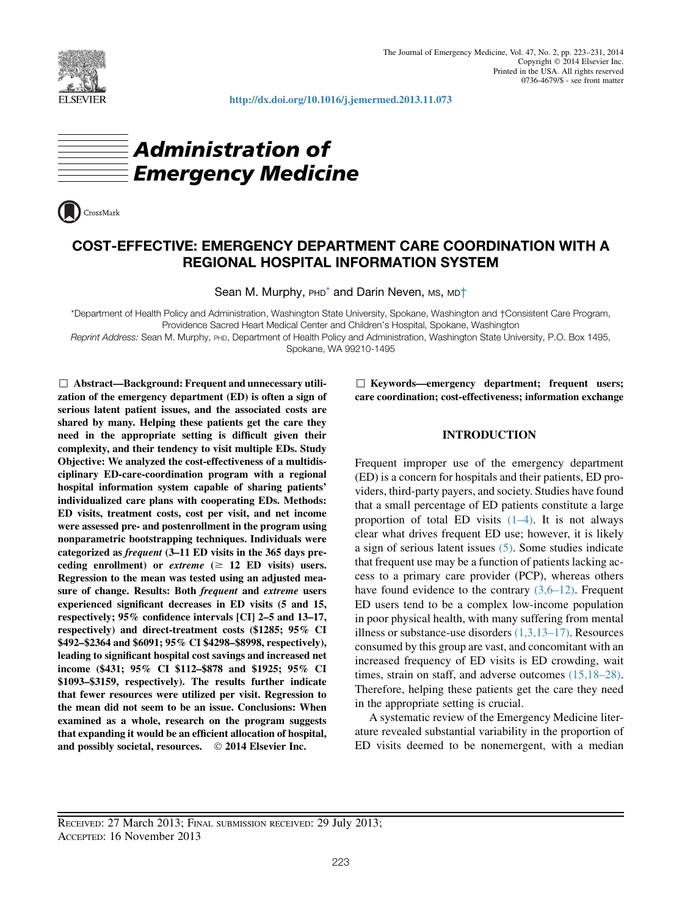

<http://dx.doi.org/10.1016/j.jemermed.2013.11.073>

# $\bar{=}$  Administration of Emergency Medicine



# COST-EFFECTIVE: EMERGENCY DEPARTMENT CARE COORDINATION WITH A REGIONAL HOSPITAL INFORMATION SYSTEM

Sean M. Murphy, PHD<sup>\*</sup> and Darin Neven, MS, MD<sup>+</sup>

\*Department of Health Policy and Administration, Washington State University, Spokane, Washington and †Consistent Care Program, Providence Sacred Heart Medical Center and Children's Hospital, Spokane, Washington

Reprint Address: Sean M. Murphy, PHD, Department of Health Policy and Administration, Washington State University, P.O. Box 1495, Spokane, WA 99210-1495

 $\Box$  Abstract—Background: Frequent and unnecessary utilization of the emergency department (ED) is often a sign of serious latent patient issues, and the associated costs are shared by many. Helping these patients get the care they need in the appropriate setting is difficult given their complexity, and their tendency to visit multiple EDs. Study Objective: We analyzed the cost-effectiveness of a multidisciplinary ED-care-coordination program with a regional hospital information system capable of sharing patients' individualized care plans with cooperating EDs. Methods: ED visits, treatment costs, cost per visit, and net income were assessed pre- and postenrollment in the program using nonparametric bootstrapping techniques. Individuals were categorized as frequent (3–11 ED visits in the 365 days preceding enrollment) or extreme  $(\geq 12$  ED visits) users. Regression to the mean was tested using an adjusted measure of change. Results: Both frequent and extreme users experienced significant decreases in ED visits (5 and 15, respectively; 95% confidence intervals [CI] 2–5 and 13–17, respectively) and direct-treatment costs (\$1285; 95% CI \$492–\$2364 and \$6091; 95% CI \$4298–\$8998, respectively), leading to significant hospital cost savings and increased net income (\$431; 95% CI \$112–\$878 and \$1925; 95% CI \$1093–\$3159, respectively). The results further indicate that fewer resources were utilized per visit. Regression to the mean did not seem to be an issue. Conclusions: When examined as a whole, research on the program suggests that expanding it would be an efficient allocation of hospital, and possibly societal, resources.  $\circ$  2014 Elsevier Inc.

 $\Box$  Keywords—emergency department; frequent users; care coordination; cost-effectiveness; information exchange

# INTRODUCTION

Frequent improper use of the emergency department (ED) is a concern for hospitals and their patients, ED providers, third-party payers, and society. Studies have found that a small percentage of ED patients constitute a large proportion of total ED visits [\(1–4\)](#page-6-0). It is not always clear what drives frequent ED use; however, it is likely a sign of serious latent issues [\(5\)](#page-6-0). Some studies indicate that frequent use may be a function of patients lacking access to a primary care provider (PCP), whereas others have found evidence to the contrary  $(3,6-12)$ . Frequent ED users tend to be a complex low-income population in poor physical health, with many suffering from mental illness or substance-use disorders [\(1,3,13–17\)](#page-6-0). Resources consumed by this group are vast, and concomitant with an increased frequency of ED visits is ED crowding, wait times, strain on staff, and adverse outcomes [\(15,18–28\).](#page-6-0) Therefore, helping these patients get the care they need in the appropriate setting is crucial.

A systematic review of the Emergency Medicine literature revealed substantial variability in the proportion of ED visits deemed to be nonemergent, with a median

RECEIVED: 27 March 2013; FINAL SUBMISSION RECEIVED: 29 July 2013; ACCEPTED: 16 November 2013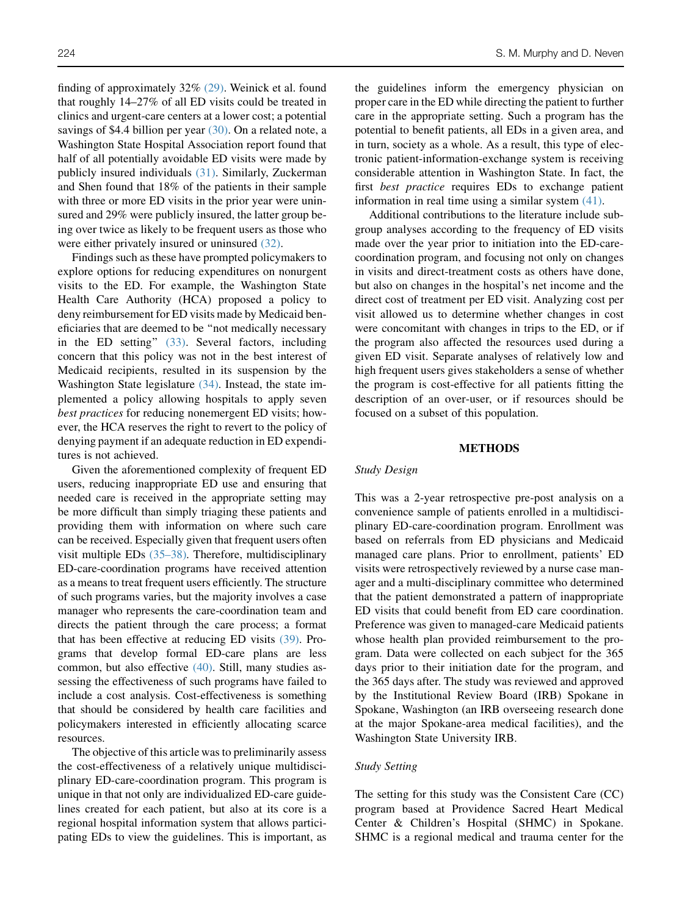finding of approximately 32% [\(29\)](#page-6-0). Weinick et al. found that roughly 14–27% of all ED visits could be treated in clinics and urgent-care centers at a lower cost; a potential savings of \$4.4 billion per year [\(30\).](#page-6-0) On a related note, a Washington State Hospital Association report found that half of all potentially avoidable ED visits were made by publicly insured individuals [\(31\)](#page-6-0). Similarly, Zuckerman and Shen found that 18% of the patients in their sample with three or more ED visits in the prior year were uninsured and 29% were publicly insured, the latter group being over twice as likely to be frequent users as those who were either privately insured or uninsured  $(32)$ .

Findings such as these have prompted policymakers to explore options for reducing expenditures on nonurgent visits to the ED. For example, the Washington State Health Care Authority (HCA) proposed a policy to deny reimbursement for ED visits made by Medicaid beneficiaries that are deemed to be ''not medically necessary in the ED setting'' [\(33\).](#page-6-0) Several factors, including concern that this policy was not in the best interest of Medicaid recipients, resulted in its suspension by the Washington State legislature [\(34\).](#page-6-0) Instead, the state implemented a policy allowing hospitals to apply seven best practices for reducing nonemergent ED visits; however, the HCA reserves the right to revert to the policy of denying payment if an adequate reduction in ED expenditures is not achieved.

Given the aforementioned complexity of frequent ED users, reducing inappropriate ED use and ensuring that needed care is received in the appropriate setting may be more difficult than simply triaging these patients and providing them with information on where such care can be received. Especially given that frequent users often visit multiple EDs [\(35–38\)](#page-6-0). Therefore, multidisciplinary ED-care-coordination programs have received attention as a means to treat frequent users efficiently. The structure of such programs varies, but the majority involves a case manager who represents the care-coordination team and directs the patient through the care process; a format that has been effective at reducing ED visits [\(39\).](#page-6-0) Programs that develop formal ED-care plans are less common, but also effective [\(40\)](#page-6-0). Still, many studies assessing the effectiveness of such programs have failed to include a cost analysis. Cost-effectiveness is something that should be considered by health care facilities and policymakers interested in efficiently allocating scarce resources.

The objective of this article was to preliminarily assess the cost-effectiveness of a relatively unique multidisciplinary ED-care-coordination program. This program is unique in that not only are individualized ED-care guidelines created for each patient, but also at its core is a regional hospital information system that allows participating EDs to view the guidelines. This is important, as the guidelines inform the emergency physician on proper care in the ED while directing the patient to further care in the appropriate setting. Such a program has the potential to benefit patients, all EDs in a given area, and in turn, society as a whole. As a result, this type of electronic patient-information-exchange system is receiving considerable attention in Washington State. In fact, the first best practice requires EDs to exchange patient information in real time using a similar system [\(41\).](#page-6-0)

Additional contributions to the literature include subgroup analyses according to the frequency of ED visits made over the year prior to initiation into the ED-carecoordination program, and focusing not only on changes in visits and direct-treatment costs as others have done, but also on changes in the hospital's net income and the direct cost of treatment per ED visit. Analyzing cost per visit allowed us to determine whether changes in cost were concomitant with changes in trips to the ED, or if the program also affected the resources used during a given ED visit. Separate analyses of relatively low and high frequent users gives stakeholders a sense of whether the program is cost-effective for all patients fitting the description of an over-user, or if resources should be focused on a subset of this population.

## METHODS

# Study Design

This was a 2-year retrospective pre-post analysis on a convenience sample of patients enrolled in a multidisciplinary ED-care-coordination program. Enrollment was based on referrals from ED physicians and Medicaid managed care plans. Prior to enrollment, patients' ED visits were retrospectively reviewed by a nurse case manager and a multi-disciplinary committee who determined that the patient demonstrated a pattern of inappropriate ED visits that could benefit from ED care coordination. Preference was given to managed-care Medicaid patients whose health plan provided reimbursement to the program. Data were collected on each subject for the 365 days prior to their initiation date for the program, and the 365 days after. The study was reviewed and approved by the Institutional Review Board (IRB) Spokane in Spokane, Washington (an IRB overseeing research done at the major Spokane-area medical facilities), and the Washington State University IRB.

# Study Setting

The setting for this study was the Consistent Care (CC) program based at Providence Sacred Heart Medical Center & Children's Hospital (SHMC) in Spokane. SHMC is a regional medical and trauma center for the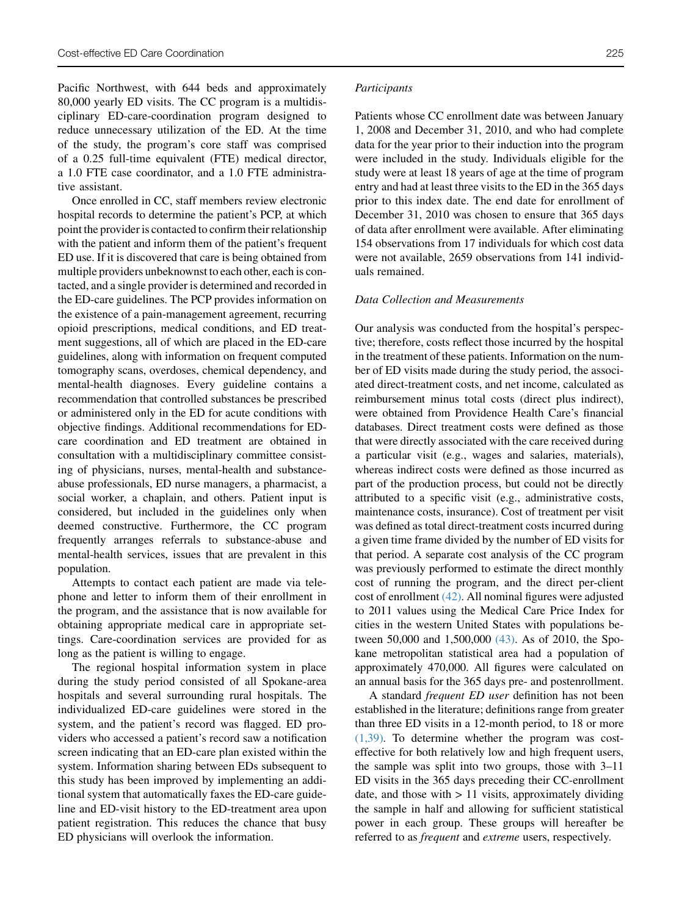Pacific Northwest, with 644 beds and approximately 80,000 yearly ED visits. The CC program is a multidisciplinary ED-care-coordination program designed to reduce unnecessary utilization of the ED. At the time of the study, the program's core staff was comprised of a 0.25 full-time equivalent (FTE) medical director, a 1.0 FTE case coordinator, and a 1.0 FTE administrative assistant.

Once enrolled in CC, staff members review electronic hospital records to determine the patient's PCP, at which point the provider is contacted to confirm their relationship with the patient and inform them of the patient's frequent ED use. If it is discovered that care is being obtained from multiple providers unbeknownst to each other, each is contacted, and a single provider is determined and recorded in the ED-care guidelines. The PCP provides information on the existence of a pain-management agreement, recurring opioid prescriptions, medical conditions, and ED treatment suggestions, all of which are placed in the ED-care guidelines, along with information on frequent computed tomography scans, overdoses, chemical dependency, and mental-health diagnoses. Every guideline contains a recommendation that controlled substances be prescribed or administered only in the ED for acute conditions with objective findings. Additional recommendations for EDcare coordination and ED treatment are obtained in consultation with a multidisciplinary committee consisting of physicians, nurses, mental-health and substanceabuse professionals, ED nurse managers, a pharmacist, a social worker, a chaplain, and others. Patient input is considered, but included in the guidelines only when deemed constructive. Furthermore, the CC program frequently arranges referrals to substance-abuse and mental-health services, issues that are prevalent in this population.

Attempts to contact each patient are made via telephone and letter to inform them of their enrollment in the program, and the assistance that is now available for obtaining appropriate medical care in appropriate settings. Care-coordination services are provided for as long as the patient is willing to engage.

The regional hospital information system in place during the study period consisted of all Spokane-area hospitals and several surrounding rural hospitals. The individualized ED-care guidelines were stored in the system, and the patient's record was flagged. ED providers who accessed a patient's record saw a notification screen indicating that an ED-care plan existed within the system. Information sharing between EDs subsequent to this study has been improved by implementing an additional system that automatically faxes the ED-care guideline and ED-visit history to the ED-treatment area upon patient registration. This reduces the chance that busy ED physicians will overlook the information.

#### Participants

Patients whose CC enrollment date was between January 1, 2008 and December 31, 2010, and who had complete data for the year prior to their induction into the program were included in the study. Individuals eligible for the study were at least 18 years of age at the time of program entry and had at least three visits to the ED in the 365 days prior to this index date. The end date for enrollment of December 31, 2010 was chosen to ensure that 365 days of data after enrollment were available. After eliminating 154 observations from 17 individuals for which cost data were not available, 2659 observations from 141 individuals remained.

## Data Collection and Measurements

Our analysis was conducted from the hospital's perspective; therefore, costs reflect those incurred by the hospital in the treatment of these patients. Information on the number of ED visits made during the study period, the associated direct-treatment costs, and net income, calculated as reimbursement minus total costs (direct plus indirect), were obtained from Providence Health Care's financial databases. Direct treatment costs were defined as those that were directly associated with the care received during a particular visit (e.g., wages and salaries, materials), whereas indirect costs were defined as those incurred as part of the production process, but could not be directly attributed to a specific visit (e.g., administrative costs, maintenance costs, insurance). Cost of treatment per visit was defined as total direct-treatment costs incurred during a given time frame divided by the number of ED visits for that period. A separate cost analysis of the CC program was previously performed to estimate the direct monthly cost of running the program, and the direct per-client cost of enrollment [\(42\).](#page-6-0) All nominal figures were adjusted to 2011 values using the Medical Care Price Index for cities in the western United States with populations between 50,000 and 1,500,000 [\(43\)](#page-6-0). As of 2010, the Spokane metropolitan statistical area had a population of approximately 470,000. All figures were calculated on an annual basis for the 365 days pre- and postenrollment.

A standard frequent ED user definition has not been established in the literature; definitions range from greater than three ED visits in a 12-month period, to 18 or more [\(1,39\).](#page-6-0) To determine whether the program was costeffective for both relatively low and high frequent users, the sample was split into two groups, those with 3–11 ED visits in the 365 days preceding their CC-enrollment date, and those with  $> 11$  visits, approximately dividing the sample in half and allowing for sufficient statistical power in each group. These groups will hereafter be referred to as frequent and extreme users, respectively.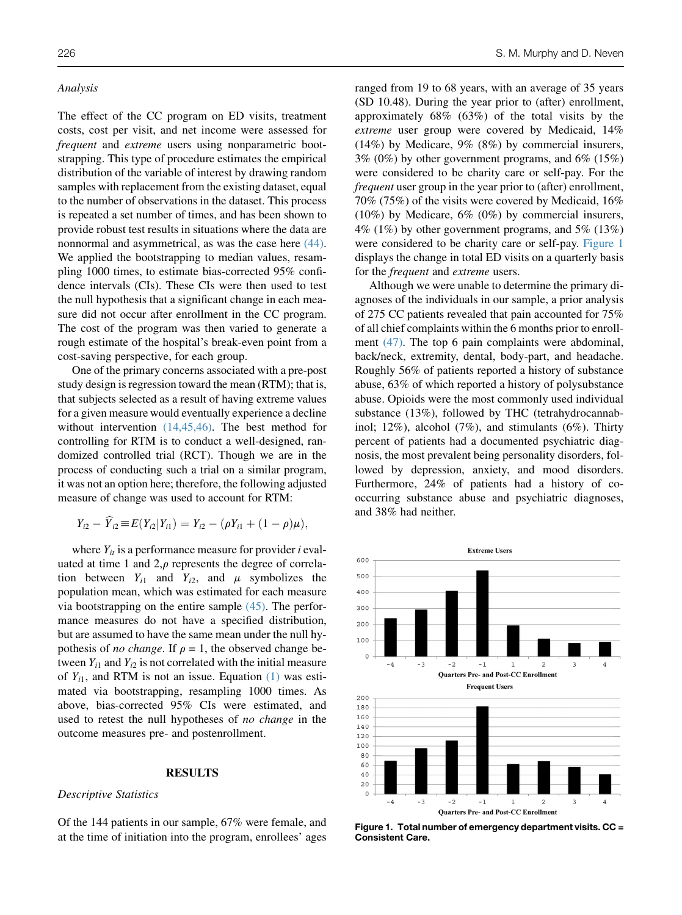#### Analysis

The effect of the CC program on ED visits, treatment costs, cost per visit, and net income were assessed for frequent and extreme users using nonparametric bootstrapping. This type of procedure estimates the empirical distribution of the variable of interest by drawing random samples with replacement from the existing dataset, equal to the number of observations in the dataset. This process is repeated a set number of times, and has been shown to provide robust test results in situations where the data are nonnormal and asymmetrical, as was the case here [\(44\).](#page-7-0) We applied the bootstrapping to median values, resampling 1000 times, to estimate bias-corrected 95% confidence intervals (CIs). These CIs were then used to test the null hypothesis that a significant change in each measure did not occur after enrollment in the CC program. The cost of the program was then varied to generate a rough estimate of the hospital's break-even point from a cost-saving perspective, for each group.

One of the primary concerns associated with a pre-post study design is regression toward the mean (RTM); that is, that subjects selected as a result of having extreme values for a given measure would eventually experience a decline without intervention [\(14,45,46\).](#page-6-0) The best method for controlling for RTM is to conduct a well-designed, randomized controlled trial (RCT). Though we are in the process of conducting such a trial on a similar program, it was not an option here; therefore, the following adjusted<br>measure of change was used to account for RTM:<br> $Y_{i2} - \hat{Y}_{i2} \equiv E(Y_{i2}|Y_{i1}) = Y_{i2} - (\rho Y_{i1} + (1 - \rho)\mu),$ measure of change was used to account for RTM:

$$
Y_{i2} - \dot{Y}_{i2} \equiv E(Y_{i2}|Y_{i1}) = Y_{i2} - (\rho Y_{i1} + (1 - \rho)\mu),
$$

where  $Y_{it}$  is a performance measure for provider *i* evaluated at time 1 and  $2,\rho$  represents the degree of correlation between  $Y_{i1}$  and  $Y_{i2}$ , and  $\mu$  symbolizes the population mean, which was estimated for each measure via bootstrapping on the entire sample [\(45\)](#page-7-0). The performance measures do not have a specified distribution, but are assumed to have the same mean under the null hypothesis of *no change*. If  $\rho = 1$ , the observed change between  $Y_{i1}$  and  $Y_{i2}$  is not correlated with the initial measure of  $Y_{i1}$ , and RTM is not an issue. Equation [\(1\)](#page-6-0) was estimated via bootstrapping, resampling 1000 times. As above, bias-corrected 95% CIs were estimated, and used to retest the null hypotheses of *no change* in the outcome measures pre- and postenrollment.

### **RESULTS**

#### Descriptive Statistics

Of the 144 patients in our sample, 67% were female, and at the time of initiation into the program, enrollees' ages

ranged from 19 to 68 years, with an average of 35 years (SD 10.48). During the year prior to (after) enrollment, approximately 68% (63%) of the total visits by the extreme user group were covered by Medicaid, 14% (14%) by Medicare, 9% (8%) by commercial insurers, 3% (0%) by other government programs, and 6% (15%) were considered to be charity care or self-pay. For the frequent user group in the year prior to (after) enrollment, 70% (75%) of the visits were covered by Medicaid, 16% (10%) by Medicare, 6% (0%) by commercial insurers, 4% (1%) by other government programs, and 5% (13%) were considered to be charity care or self-pay. Figure 1 displays the change in total ED visits on a quarterly basis for the frequent and extreme users.

Although we were unable to determine the primary diagnoses of the individuals in our sample, a prior analysis of 275 CC patients revealed that pain accounted for 75% of all chief complaints within the 6 months prior to enrollment [\(47\)](#page-7-0). The top 6 pain complaints were abdominal, back/neck, extremity, dental, body-part, and headache. Roughly 56% of patients reported a history of substance abuse, 63% of which reported a history of polysubstance abuse. Opioids were the most commonly used individual substance (13%), followed by THC (tetrahydrocannabinol; 12%), alcohol (7%), and stimulants (6%). Thirty percent of patients had a documented psychiatric diagnosis, the most prevalent being personality disorders, followed by depression, anxiety, and mood disorders. Furthermore, 24% of patients had a history of cooccurring substance abuse and psychiatric diagnoses, and 38% had neither.



Figure 1. Total number of emergency department visits. CC = Consistent Care.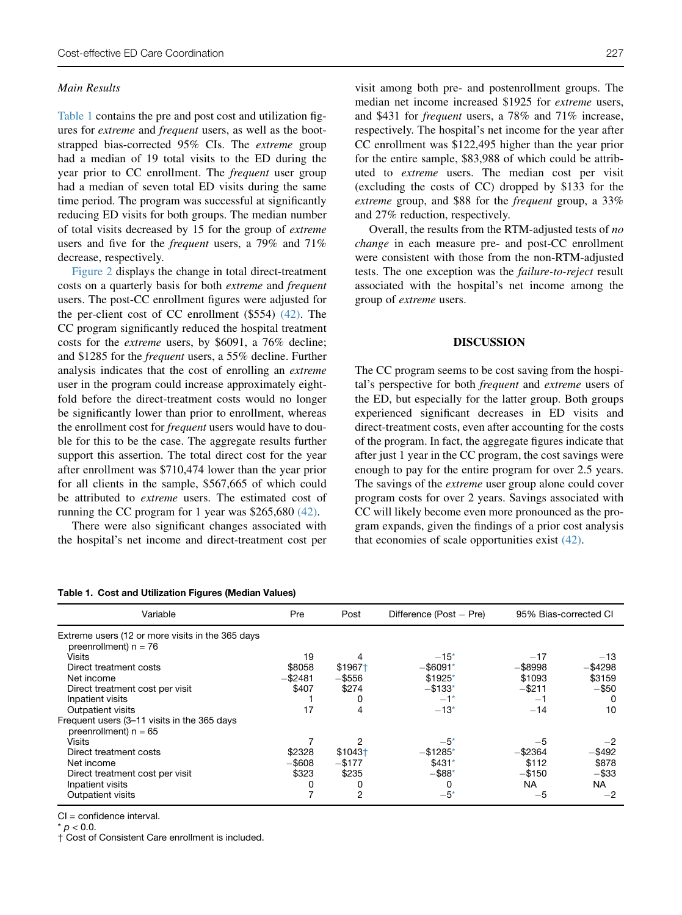# Main Results

Table 1 contains the pre and post cost and utilization figures for extreme and frequent users, as well as the bootstrapped bias-corrected 95% CIs. The extreme group had a median of 19 total visits to the ED during the year prior to CC enrollment. The frequent user group had a median of seven total ED visits during the same time period. The program was successful at significantly reducing ED visits for both groups. The median number of total visits decreased by 15 for the group of extreme users and five for the frequent users, a 79% and 71% decrease, respectively.

[Figure 2](#page-5-0) displays the change in total direct-treatment costs on a quarterly basis for both extreme and frequent users. The post-CC enrollment figures were adjusted for the per-client cost of CC enrollment (\$554) [\(42\).](#page-6-0) The CC program significantly reduced the hospital treatment costs for the extreme users, by \$6091, a 76% decline; and \$1285 for the frequent users, a 55% decline. Further analysis indicates that the cost of enrolling an extreme user in the program could increase approximately eightfold before the direct-treatment costs would no longer be significantly lower than prior to enrollment, whereas the enrollment cost for *frequent* users would have to double for this to be the case. The aggregate results further support this assertion. The total direct cost for the year after enrollment was \$710,474 lower than the year prior for all clients in the sample, \$567,665 of which could be attributed to extreme users. The estimated cost of running the CC program for 1 year was \$265,680 [\(42\)](#page-6-0).

There were also significant changes associated with the hospital's net income and direct-treatment cost per

|  |  | Table 1. Cost and Utilization Figures (Median Values) |  |  |  |
|--|--|-------------------------------------------------------|--|--|--|
|--|--|-------------------------------------------------------|--|--|--|

visit among both pre- and postenrollment groups. The median net income increased \$1925 for extreme users, and \$431 for frequent users, a 78% and 71% increase, respectively. The hospital's net income for the year after CC enrollment was \$122,495 higher than the year prior for the entire sample, \$83,988 of which could be attributed to extreme users. The median cost per visit (excluding the costs of CC) dropped by \$133 for the extreme group, and \$88 for the frequent group, a 33% and 27% reduction, respectively.

Overall, the results from the RTM-adjusted tests of no change in each measure pre- and post-CC enrollment were consistent with those from the non-RTM-adjusted tests. The one exception was the failure-to-reject result associated with the hospital's net income among the group of extreme users.

#### DISCUSSION

The CC program seems to be cost saving from the hospital's perspective for both frequent and extreme users of the ED, but especially for the latter group. Both groups experienced significant decreases in ED visits and direct-treatment costs, even after accounting for the costs of the program. In fact, the aggregate figures indicate that after just 1 year in the CC program, the cost savings were enough to pay for the entire program for over 2.5 years. The savings of the *extreme* user group alone could cover program costs for over 2 years. Savings associated with CC will likely become even more pronounced as the program expands, given the findings of a prior cost analysis that economies of scale opportunities exist [\(42\)](#page-6-0).

| Variable                                                                                                                                                                                    | Pre                                 | Post                                             | Difference (Post - Pre)                                   | 95% Bias-corrected CI                                       |                                                             |
|---------------------------------------------------------------------------------------------------------------------------------------------------------------------------------------------|-------------------------------------|--------------------------------------------------|-----------------------------------------------------------|-------------------------------------------------------------|-------------------------------------------------------------|
| Extreme users (12 or more visits in the 365 days<br>preenrollment) $n = 76$<br><b>Visits</b><br>Direct treatment costs<br>Net income<br>Direct treatment cost per visit<br>Inpatient visits | 19<br>\$8058<br>$-$ \$2481<br>\$407 | 4<br>$$1967+$<br>$-$ \$556<br>\$274              | $-15*$<br>$-$ \$6091*<br>$$1925*$<br>$-$ \$133*<br>$-1$ * | $-17$<br>$-$ \$8998<br>\$1093<br>$-$ \$211<br>-1            | $-13$<br>$-$ \$4298<br>\$3159<br>$-$ \$50<br>$\Omega$       |
| Outpatient visits<br>Frequent users (3-11 visits in the 365 days<br>preenrollment) $n = 65$                                                                                                 | 17                                  | 4                                                | $-13*$                                                    | $-14$                                                       | 10                                                          |
| <b>Visits</b><br>Direct treatment costs<br>Net income<br>Direct treatment cost per visit<br>Inpatient visits<br>Outpatient visits                                                           | \$2328<br>$-$ \$608<br>\$323        | $$1043+$<br>$-$ \$177<br>\$235<br>$\overline{2}$ | $-5^*$<br>$-$ \$1285*<br>$$431*$<br>$-$ \$88*<br>$-5^*$   | $-5$<br>$-$ \$2364<br>\$112<br>$-$ \$150<br><b>NA</b><br>-5 | $-2$<br>$-$ \$492<br>\$878<br>$-$ \$33<br><b>NA</b><br>$-2$ |

CI = confidence interval.

 $p < 0.0$ .

† Cost of Consistent Care enrollment is included.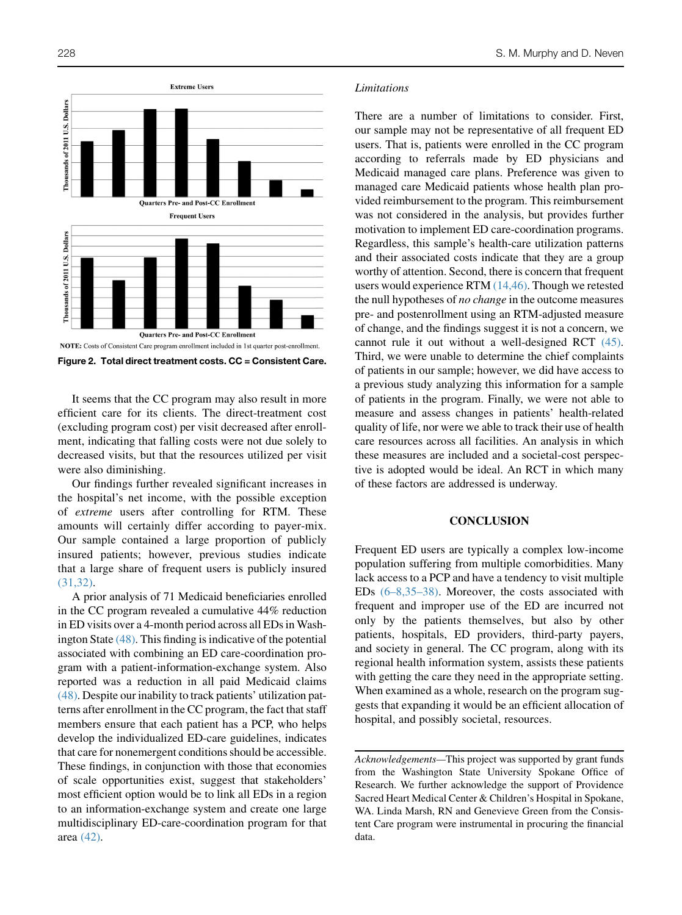<span id="page-5-0"></span>

Figure 2. Total direct treatment costs. CC = Consistent Care.

It seems that the CC program may also result in more efficient care for its clients. The direct-treatment cost (excluding program cost) per visit decreased after enrollment, indicating that falling costs were not due solely to decreased visits, but that the resources utilized per visit were also diminishing.

Our findings further revealed significant increases in the hospital's net income, with the possible exception of extreme users after controlling for RTM. These amounts will certainly differ according to payer-mix. Our sample contained a large proportion of publicly insured patients; however, previous studies indicate that a large share of frequent users is publicly insured [\(31,32\)](#page-6-0).

A prior analysis of 71 Medicaid beneficiaries enrolled in the CC program revealed a cumulative 44% reduction in ED visits over a 4-month period across all EDs in Washington State [\(48\)](#page-7-0). This finding is indicative of the potential associated with combining an ED care-coordination program with a patient-information-exchange system. Also reported was a reduction in all paid Medicaid claims [\(48\)](#page-7-0). Despite our inability to track patients' utilization patterns after enrollment in the CC program, the fact that staff members ensure that each patient has a PCP, who helps develop the individualized ED-care guidelines, indicates that care for nonemergent conditions should be accessible. These findings, in conjunction with those that economies of scale opportunities exist, suggest that stakeholders' most efficient option would be to link all EDs in a region to an information-exchange system and create one large multidisciplinary ED-care-coordination program for that area [\(42\).](#page-6-0)

# Limitations

There are a number of limitations to consider. First, our sample may not be representative of all frequent ED users. That is, patients were enrolled in the CC program according to referrals made by ED physicians and Medicaid managed care plans. Preference was given to managed care Medicaid patients whose health plan provided reimbursement to the program. This reimbursement was not considered in the analysis, but provides further motivation to implement ED care-coordination programs. Regardless, this sample's health-care utilization patterns and their associated costs indicate that they are a group worthy of attention. Second, there is concern that frequent users would experience RTM [\(14,46\)](#page-6-0). Though we retested the null hypotheses of no change in the outcome measures pre- and postenrollment using an RTM-adjusted measure of change, and the findings suggest it is not a concern, we cannot rule it out without a well-designed RCT [\(45\).](#page-7-0) Third, we were unable to determine the chief complaints of patients in our sample; however, we did have access to a previous study analyzing this information for a sample of patients in the program. Finally, we were not able to measure and assess changes in patients' health-related quality of life, nor were we able to track their use of health care resources across all facilities. An analysis in which these measures are included and a societal-cost perspective is adopted would be ideal. An RCT in which many of these factors are addressed is underway.

#### **CONCLUSION**

Frequent ED users are typically a complex low-income population suffering from multiple comorbidities. Many lack access to a PCP and have a tendency to visit multiple EDs [\(6–8,35–38\)](#page-6-0). Moreover, the costs associated with frequent and improper use of the ED are incurred not only by the patients themselves, but also by other patients, hospitals, ED providers, third-party payers, and society in general. The CC program, along with its regional health information system, assists these patients with getting the care they need in the appropriate setting. When examined as a whole, research on the program suggests that expanding it would be an efficient allocation of hospital, and possibly societal, resources.

Acknowledgements—This project was supported by grant funds from the Washington State University Spokane Office of Research. We further acknowledge the support of Providence Sacred Heart Medical Center & Children's Hospital in Spokane, WA. Linda Marsh, RN and Genevieve Green from the Consistent Care program were instrumental in procuring the financial data.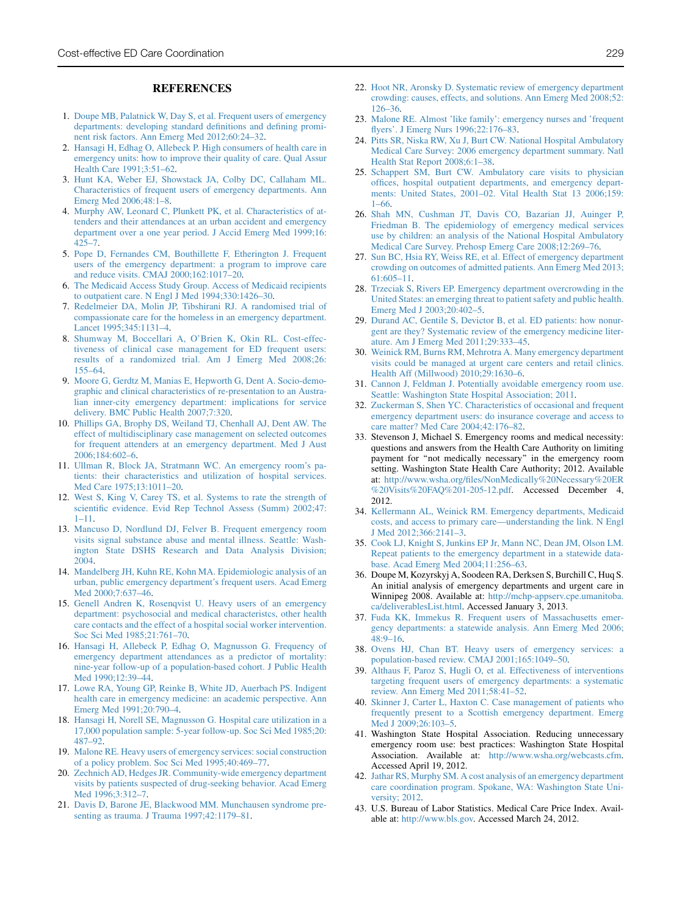#### **REFERENCES**

- <span id="page-6-0"></span>1. [Doupe MB, Palatnick W, Day S, et al. Frequent users of emergency](http://refhub.elsevier.com/S0736-4679(13)01399-1/sref1) [departments: developing standard definitions and defining promi](http://refhub.elsevier.com/S0736-4679(13)01399-1/sref1)[nent risk factors. Ann Emerg Med 2012;60:24–32.](http://refhub.elsevier.com/S0736-4679(13)01399-1/sref1)
- 2. [Hansagi H, Edhag O, Allebeck P. High consumers of health care in](http://refhub.elsevier.com/S0736-4679(13)01399-1/sref2) [emergency units: how to improve their quality of care. Qual Assur](http://refhub.elsevier.com/S0736-4679(13)01399-1/sref2) [Health Care 1991;3:51–62.](http://refhub.elsevier.com/S0736-4679(13)01399-1/sref2)
- 3. [Hunt KA, Weber EJ, Showstack JA, Colby DC, Callaham ML.](http://refhub.elsevier.com/S0736-4679(13)01399-1/sref3) [Characteristics of frequent users of emergency departments. Ann](http://refhub.elsevier.com/S0736-4679(13)01399-1/sref3) [Emerg Med 2006;48:1–8](http://refhub.elsevier.com/S0736-4679(13)01399-1/sref3).
- 4. [Murphy AW, Leonard C, Plunkett PK, et al. Characteristics of at](http://refhub.elsevier.com/S0736-4679(13)01399-1/sref4)[tenders and their attendances at an urban accident and emergency](http://refhub.elsevier.com/S0736-4679(13)01399-1/sref4) [department over a one year period. J Accid Emerg Med 1999;16:](http://refhub.elsevier.com/S0736-4679(13)01399-1/sref4) [425–7](http://refhub.elsevier.com/S0736-4679(13)01399-1/sref4).
- 5. [Pope D, Fernandes CM, Bouthillette F, Etherington J. Frequent](http://refhub.elsevier.com/S0736-4679(13)01399-1/sref5) [users of the emergency department: a program to improve care](http://refhub.elsevier.com/S0736-4679(13)01399-1/sref5) [and reduce visits. CMAJ 2000;162:1017–20](http://refhub.elsevier.com/S0736-4679(13)01399-1/sref5).
- 6. [The Medicaid Access Study Group. Access of Medicaid recipients](http://refhub.elsevier.com/S0736-4679(13)01399-1/sref6) [to outpatient care. N Engl J Med 1994;330:1426–30](http://refhub.elsevier.com/S0736-4679(13)01399-1/sref6).
- 7. [Redelmeier DA, Molin JP, Tibshirani RJ. A randomised trial of](http://refhub.elsevier.com/S0736-4679(13)01399-1/sref7) [compassionate care for the homeless in an emergency department.](http://refhub.elsevier.com/S0736-4679(13)01399-1/sref7) [Lancet 1995;345:1131–4.](http://refhub.elsevier.com/S0736-4679(13)01399-1/sref7)
- 8. [Shumway M, Boccellari A, O'Brien K, Okin RL. Cost-effec](http://refhub.elsevier.com/S0736-4679(13)01399-1/sref8)[tiveness of clinical case management for ED frequent users:](http://refhub.elsevier.com/S0736-4679(13)01399-1/sref8) [results of a randomized trial. Am J Emerg Med 2008;26:](http://refhub.elsevier.com/S0736-4679(13)01399-1/sref8) [155–64.](http://refhub.elsevier.com/S0736-4679(13)01399-1/sref8)
- 9. [Moore G, Gerdtz M, Manias E, Hepworth G, Dent A. Socio-demo](http://refhub.elsevier.com/S0736-4679(13)01399-1/sref9)[graphic and clinical characteristics of re-presentation to an Austra](http://refhub.elsevier.com/S0736-4679(13)01399-1/sref9)[lian inner-city emergency department: implications for service](http://refhub.elsevier.com/S0736-4679(13)01399-1/sref9) [delivery. BMC Public Health 2007;7:320](http://refhub.elsevier.com/S0736-4679(13)01399-1/sref9).
- 10. [Phillips GA, Brophy DS, Weiland TJ, Chenhall AJ, Dent AW. The](http://refhub.elsevier.com/S0736-4679(13)01399-1/sref10) [effect of multidisciplinary case management on selected outcomes](http://refhub.elsevier.com/S0736-4679(13)01399-1/sref10) [for frequent attenders at an emergency department. Med J Aust](http://refhub.elsevier.com/S0736-4679(13)01399-1/sref10) [2006;184:602–6.](http://refhub.elsevier.com/S0736-4679(13)01399-1/sref10)
- 11. [Ullman R, Block JA, Stratmann WC. An emergency room's pa](http://refhub.elsevier.com/S0736-4679(13)01399-1/sref11)[tients: their characteristics and utilization of hospital services.](http://refhub.elsevier.com/S0736-4679(13)01399-1/sref11) [Med Care 1975;13:1011–20.](http://refhub.elsevier.com/S0736-4679(13)01399-1/sref11)
- 12. [West S, King V, Carey TS, et al. Systems to rate the strength of](http://refhub.elsevier.com/S0736-4679(13)01399-1/sref12) [scientific evidence. Evid Rep Technol Assess \(Summ\) 2002;47:](http://refhub.elsevier.com/S0736-4679(13)01399-1/sref12) [1–11.](http://refhub.elsevier.com/S0736-4679(13)01399-1/sref12)
- 13. [Mancuso D, Nordlund DJ, Felver B. Frequent emergency room](http://refhub.elsevier.com/S0736-4679(13)01399-1/sref13) [visits signal substance abuse and mental illness. Seattle: Wash](http://refhub.elsevier.com/S0736-4679(13)01399-1/sref13)[ington State DSHS Research and Data Analysis Division;](http://refhub.elsevier.com/S0736-4679(13)01399-1/sref13) [2004.](http://refhub.elsevier.com/S0736-4679(13)01399-1/sref13)
- 14. [Mandelberg JH, Kuhn RE, Kohn MA. Epidemiologic analysis of an](http://refhub.elsevier.com/S0736-4679(13)01399-1/sref14) [urban, public emergency department's frequent users. Acad Emerg](http://refhub.elsevier.com/S0736-4679(13)01399-1/sref14) [Med 2000;7:637–46.](http://refhub.elsevier.com/S0736-4679(13)01399-1/sref14)
- 15. [Genell Andren K, Rosenqvist U. Heavy users of an emergency](http://refhub.elsevier.com/S0736-4679(13)01399-1/sref15) [department: psychosocial and medical characteristcs, other health](http://refhub.elsevier.com/S0736-4679(13)01399-1/sref15) [care contacts and the effect of a hospital social worker intervention.](http://refhub.elsevier.com/S0736-4679(13)01399-1/sref15) [Soc Sci Med 1985;21:761–70](http://refhub.elsevier.com/S0736-4679(13)01399-1/sref15).
- 16. [Hansagi H, Allebeck P, Edhag O, Magnusson G. Frequency of](http://refhub.elsevier.com/S0736-4679(13)01399-1/sref16) [emergency department attendances as a predictor of mortality:](http://refhub.elsevier.com/S0736-4679(13)01399-1/sref16) [nine-year follow-up of a population-based cohort. J Public Health](http://refhub.elsevier.com/S0736-4679(13)01399-1/sref16) Med 1990;12:39-44.
- 17. [Lowe RA, Young GP, Reinke B, White JD, Auerbach PS. Indigent](http://refhub.elsevier.com/S0736-4679(13)01399-1/sref17) [health care in emergency medicine: an academic perspective. Ann](http://refhub.elsevier.com/S0736-4679(13)01399-1/sref17) [Emerg Med 1991;20:790–4](http://refhub.elsevier.com/S0736-4679(13)01399-1/sref17).
- 18. [Hansagi H, Norell SE, Magnusson G. Hospital care utilization in a](http://refhub.elsevier.com/S0736-4679(13)01399-1/sref18) [17,000 population sample: 5-year follow-up. Soc Sci Med 1985;20:](http://refhub.elsevier.com/S0736-4679(13)01399-1/sref18) [487–92](http://refhub.elsevier.com/S0736-4679(13)01399-1/sref18).
- 19. [Malone RE. Heavy users of emergency services: social construction](http://refhub.elsevier.com/S0736-4679(13)01399-1/sref19) [of a policy problem. Soc Sci Med 1995;40:469–77.](http://refhub.elsevier.com/S0736-4679(13)01399-1/sref19)
- 20. [Zechnich AD, Hedges JR. Community-wide emergency department](http://refhub.elsevier.com/S0736-4679(13)01399-1/sref20) [visits by patients suspected of drug-seeking behavior. Acad Emerg](http://refhub.elsevier.com/S0736-4679(13)01399-1/sref20) [Med 1996;3:312–7.](http://refhub.elsevier.com/S0736-4679(13)01399-1/sref20)
- 21. [Davis D, Barone JE, Blackwood MM. Munchausen syndrome pre](http://refhub.elsevier.com/S0736-4679(13)01399-1/sref21)[senting as trauma. J Trauma 1997;42:1179–81](http://refhub.elsevier.com/S0736-4679(13)01399-1/sref21).
- 22. [Hoot NR, Aronsky D. Systematic review of emergency department](http://refhub.elsevier.com/S0736-4679(13)01399-1/sref22) [crowding: causes, effects, and solutions. Ann Emerg Med 2008;52:](http://refhub.elsevier.com/S0736-4679(13)01399-1/sref22) [126–36](http://refhub.elsevier.com/S0736-4679(13)01399-1/sref22).
- 23. [Malone RE. Almost 'like family': emergency nurses and 'frequent](http://refhub.elsevier.com/S0736-4679(13)01399-1/sref23) [flyers'. J Emerg Nurs 1996;22:176–83.](http://refhub.elsevier.com/S0736-4679(13)01399-1/sref23)
- 24. [Pitts SR, Niska RW, Xu J, Burt CW. National Hospital Ambulatory](http://refhub.elsevier.com/S0736-4679(13)01399-1/sref24) [Medical Care Survey: 2006 emergency department summary. Natl](http://refhub.elsevier.com/S0736-4679(13)01399-1/sref24) [Health Stat Report 2008;6:1–38.](http://refhub.elsevier.com/S0736-4679(13)01399-1/sref24)
- 25. [Schappert SM, Burt CW. Ambulatory care visits to physician](http://refhub.elsevier.com/S0736-4679(13)01399-1/sref25) [offices, hospital outpatient departments, and emergency depart](http://refhub.elsevier.com/S0736-4679(13)01399-1/sref25)[ments: United States, 2001–02. Vital Health Stat 13 2006;159:](http://refhub.elsevier.com/S0736-4679(13)01399-1/sref25) [1–66.](http://refhub.elsevier.com/S0736-4679(13)01399-1/sref25)
- 26. [Shah MN, Cushman JT, Davis CO, Bazarian JJ, Auinger P,](http://refhub.elsevier.com/S0736-4679(13)01399-1/sref26) [Friedman B. The epidemiology of emergency medical services](http://refhub.elsevier.com/S0736-4679(13)01399-1/sref26) [use by children: an analysis of the National Hospital Ambulatory](http://refhub.elsevier.com/S0736-4679(13)01399-1/sref26) [Medical Care Survey. Prehosp Emerg Care 2008;12:269–76](http://refhub.elsevier.com/S0736-4679(13)01399-1/sref26).
- 27. [Sun BC, Hsia RY, Weiss RE, et al. Effect of emergency department](http://refhub.elsevier.com/S0736-4679(13)01399-1/sref27) [crowding on outcomes of admitted patients. Ann Emerg Med 2013;](http://refhub.elsevier.com/S0736-4679(13)01399-1/sref27) [61:605–11.](http://refhub.elsevier.com/S0736-4679(13)01399-1/sref27)
- 28. [Trzeciak S, Rivers EP. Emergency department overcrowding in the](http://refhub.elsevier.com/S0736-4679(13)01399-1/sref28) [United States: an emerging threat to patient safety and public health.](http://refhub.elsevier.com/S0736-4679(13)01399-1/sref28) [Emerg Med J 2003;20:402–5](http://refhub.elsevier.com/S0736-4679(13)01399-1/sref28).
- 29. [Durand AC, Gentile S, Devictor B, et al. ED patients: how nonur](http://refhub.elsevier.com/S0736-4679(13)01399-1/sref29)[gent are they? Systematic review of the emergency medicine liter](http://refhub.elsevier.com/S0736-4679(13)01399-1/sref29)[ature. Am J Emerg Med 2011;29:333–45.](http://refhub.elsevier.com/S0736-4679(13)01399-1/sref29)
- 30. [Weinick RM, Burns RM, Mehrotra A. Many emergency department](http://refhub.elsevier.com/S0736-4679(13)01399-1/sref30) [visits could be managed at urgent care centers and retail clinics.](http://refhub.elsevier.com/S0736-4679(13)01399-1/sref30) [Health Aff \(Millwood\) 2010;29:1630–6](http://refhub.elsevier.com/S0736-4679(13)01399-1/sref30).
- 31. [Cannon J, Feldman J. Potentially avoidable emergency room use.](http://refhub.elsevier.com/S0736-4679(13)01399-1/sref31) [Seattle: Washington State Hospital Association; 2011](http://refhub.elsevier.com/S0736-4679(13)01399-1/sref31).
- 32. [Zuckerman S, Shen YC. Characteristics of occasional and frequent](http://refhub.elsevier.com/S0736-4679(13)01399-1/sref32) [emergency department users: do insurance coverage and access to](http://refhub.elsevier.com/S0736-4679(13)01399-1/sref32) [care matter? Med Care 2004;42:176–82.](http://refhub.elsevier.com/S0736-4679(13)01399-1/sref32)
- 33. Stevenson J, Michael S. Emergency rooms and medical necessity: questions and answers from the Health Care Authority on limiting payment for ''not medically necessary'' in the emergency room setting. Washington State Health Care Authority; 2012. Available at: [http://www.wsha.org/files/NonMedically%20Necessary%20ER](http://www.wsha.org/files/NonMedically%20Necessary%20ER%20Visits%20FAQ%201-205-12.pdf) [%20Visits%20FAQ%201-205-12.pdf](http://www.wsha.org/files/NonMedically%20Necessary%20ER%20Visits%20FAQ%201-205-12.pdf). Accessed December 4, 2012.
- 34. [Kellermann AL, Weinick RM. Emergency departments, Medicaid](http://refhub.elsevier.com/S0736-4679(13)01399-1/sref34) [costs, and access to primary care—understanding the link. N Engl](http://refhub.elsevier.com/S0736-4679(13)01399-1/sref34) [J Med 2012;366:2141–3.](http://refhub.elsevier.com/S0736-4679(13)01399-1/sref34)
- 35. [Cook LJ, Knight S, Junkins EP Jr, Mann NC, Dean JM, Olson LM.](http://refhub.elsevier.com/S0736-4679(13)01399-1/sref35) [Repeat patients to the emergency department in a statewide data](http://refhub.elsevier.com/S0736-4679(13)01399-1/sref35)[base. Acad Emerg Med 2004;11:256–63](http://refhub.elsevier.com/S0736-4679(13)01399-1/sref35).
- 36. Doupe M, Kozyrskyj A, Soodeen RA, Derksen S, Burchill C, Huq S. An initial analysis of emergency departments and urgent care in Winnipeg 2008. Available at: [http://mchp-appserv.cpe.umanitoba.](http://mchp-appserv.cpe.umanitoba.ca/deliverablesList.html) [ca/deliverablesList.html](http://mchp-appserv.cpe.umanitoba.ca/deliverablesList.html). Accessed January 3, 2013.
- 37. [Fuda KK, Immekus R. Frequent users of Massachusetts emer](http://refhub.elsevier.com/S0736-4679(13)01399-1/sref36)[gency departments: a statewide analysis. Ann Emerg Med 2006;](http://refhub.elsevier.com/S0736-4679(13)01399-1/sref36) [48:9–16.](http://refhub.elsevier.com/S0736-4679(13)01399-1/sref36)
- 38. [Ovens HJ, Chan BT. Heavy users of emergency services: a](http://refhub.elsevier.com/S0736-4679(13)01399-1/sref37) [population-based review. CMAJ 2001;165:1049–50](http://refhub.elsevier.com/S0736-4679(13)01399-1/sref37).
- 39. [Althaus F, Paroz S, Hugli O, et al. Effectiveness of interventions](http://refhub.elsevier.com/S0736-4679(13)01399-1/sref38) [targeting frequent users of emergency departments: a systematic](http://refhub.elsevier.com/S0736-4679(13)01399-1/sref38) [review. Ann Emerg Med 2011;58:41–52](http://refhub.elsevier.com/S0736-4679(13)01399-1/sref38).
- 40. [Skinner J, Carter L, Haxton C. Case management of patients who](http://refhub.elsevier.com/S0736-4679(13)01399-1/sref39) [frequently present to a Scottish emergency department. Emerg](http://refhub.elsevier.com/S0736-4679(13)01399-1/sref39) Med J 2009;26:103-5.
- 41. Washington State Hospital Association. Reducing unnecessary emergency room use: best practices: Washington State Hospital Association. Available at: <http://www.wsha.org/webcasts.cfm>. Accessed April 19, 2012.
- 42. [Jathar RS, Murphy SM. A cost analysis of an emergency department](http://refhub.elsevier.com/S0736-4679(13)01399-1/sref40) [care coordination program. Spokane, WA: Washington State Uni](http://refhub.elsevier.com/S0736-4679(13)01399-1/sref40)[versity; 2012.](http://refhub.elsevier.com/S0736-4679(13)01399-1/sref40)
- 43. U.S. Bureau of Labor Statistics. Medical Care Price Index. Available at: [http://www.bls.gov.](http://www.bls.gov) Accessed March 24, 2012.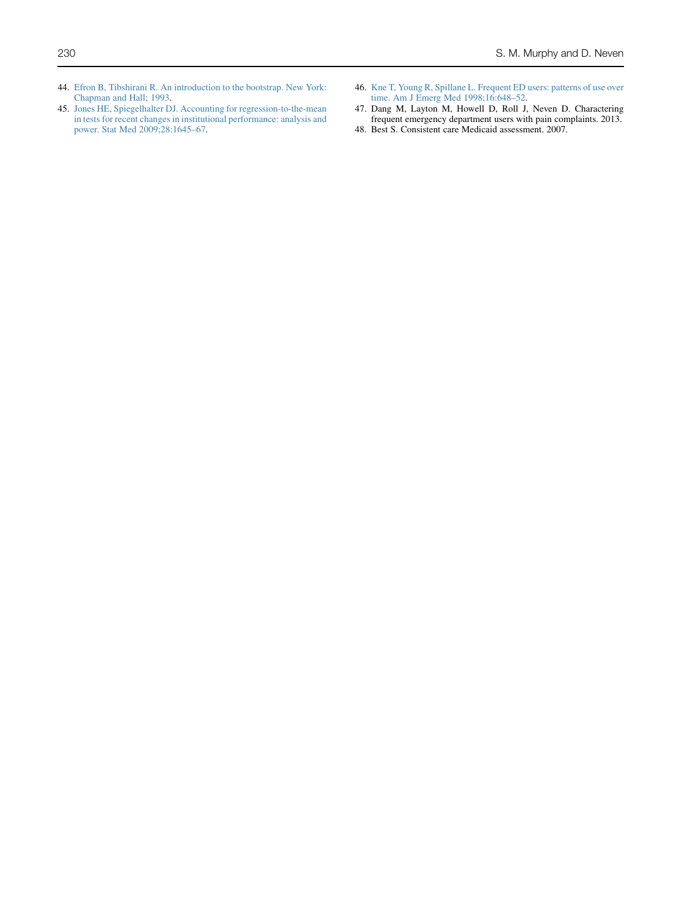- <span id="page-7-0"></span>44. [Efron B, Tibshirani R. An introduction to the bootstrap. New York:](http://refhub.elsevier.com/S0736-4679(13)01399-1/sref41) [Chapman and Hall; 1993](http://refhub.elsevier.com/S0736-4679(13)01399-1/sref41).
- 45. [Jones HE, Spiegelhalter DJ. Accounting for regression-to-the-mean](http://refhub.elsevier.com/S0736-4679(13)01399-1/sref42) [in tests for recent changes in institutional performance: analysis and](http://refhub.elsevier.com/S0736-4679(13)01399-1/sref42) [power. Stat Med 2009;28:1645–67.](http://refhub.elsevier.com/S0736-4679(13)01399-1/sref42)
- 46. [Kne T, Young R, Spillane L. Frequent ED users: patterns of use over](http://refhub.elsevier.com/S0736-4679(13)01399-1/sref43) [time. Am J Emerg Med 1998;16:648–52.](http://refhub.elsevier.com/S0736-4679(13)01399-1/sref43)
- 47. Dang M, Layton M, Howell D, Roll J, Neven D. Charactering frequent emergency department users with pain complaints. 2013.
- 48. Best S. Consistent care Medicaid assessment. 2007.